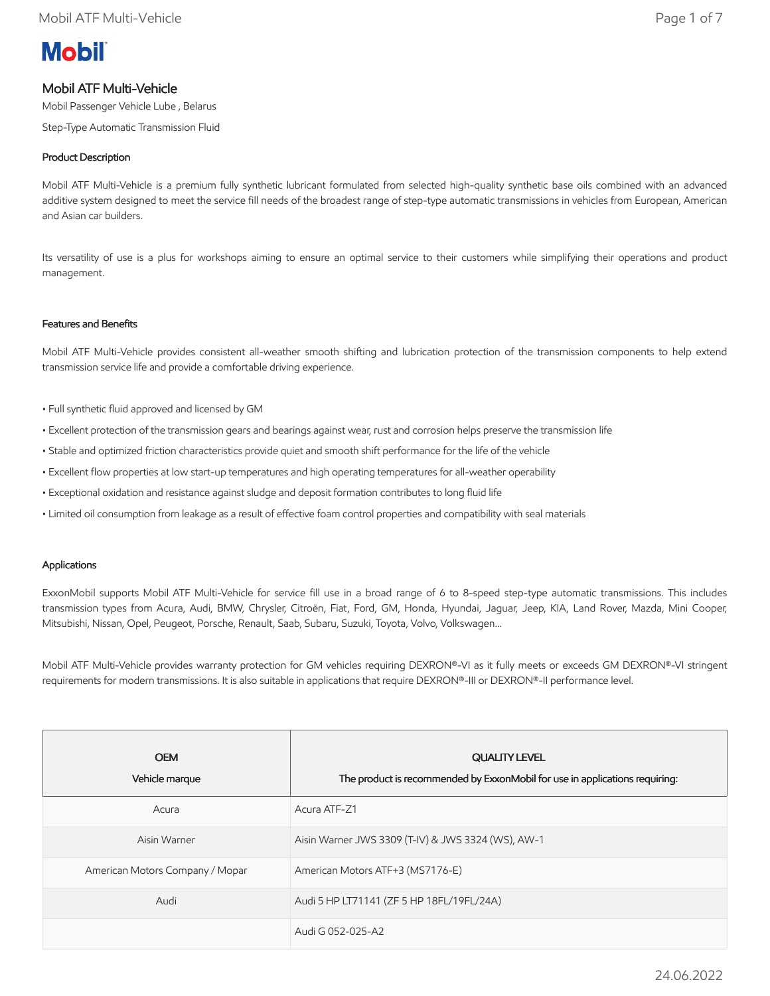# **Mobil**

# Mobil ATF Multi-Vehicle

Mobil Passenger Vehicle Lube , Belarus

Step-Type Automatic Transmission Fluid

# Product Description

Mobil ATF Multi-Vehicle is a premium fully synthetic lubricant formulated from selected high-quality synthetic base oils combined with an advanced additive system designed to meet the service fill needs of the broadest range of step-type automatic transmissions in vehicles from European, American and Asian car builders.

Its versatility of use is a plus for workshops aiming to ensure an optimal service to their customers while simplifying their operations and product management.

### Features and Benefits

Mobil ATF Multi-Vehicle provides consistent all-weather smooth shifting and lubrication protection of the transmission components to help extend transmission service life and provide a comfortable driving experience.

- Full synthetic fluid approved and licensed by GM
- Excellent protection of the transmission gears and bearings against wear, rust and corrosion helps preserve the transmission life
- Stable and optimized friction characteristics provide quiet and smooth shift performance for the life of the vehicle
- Excellent flow properties at low start-up temperatures and high operating temperatures for all-weather operability
- Exceptional oxidation and resistance against sludge and deposit formation contributes to long fluid life
- Limited oil consumption from leakage as a result of effective foam control properties and compatibility with seal materials

#### Applications

ExxonMobil supports Mobil ATF Multi-Vehicle for service fill use in a broad range of 6 to 8-speed step-type automatic transmissions. This includes transmission types from Acura, Audi, BMW, Chrysler, Citroën, Fiat, Ford, GM, Honda, Hyundai, Jaguar, Jeep, KIA, Land Rover, Mazda, Mini Cooper, Mitsubishi, Nissan, Opel, Peugeot, Porsche, Renault, Saab, Subaru, Suzuki, Toyota, Volvo, Volkswagen…

Mobil ATF Multi-Vehicle provides warranty protection for GM vehicles requiring DEXRON®-VI as it fully meets or exceeds GM DEXRON®-VI stringent requirements for modern transmissions. It is also suitable in applications that require DEXRON®-III or DEXRON®-II performance level.

| <b>OEM</b><br>Vehicle marque    | <b>QUALITY LEVEL</b><br>The product is recommended by ExxonMobil for use in applications requiring: |
|---------------------------------|-----------------------------------------------------------------------------------------------------|
| Acura                           | Acura ATF-Z1                                                                                        |
| Aisin Warner                    | Aisin Warner JWS 3309 (T-IV) & JWS 3324 (WS), AW-1                                                  |
| American Motors Company / Mopar | American Motors ATF+3 (MS7176-E)                                                                    |
| Audi                            | Audi 5 HP LT71141 (ZF 5 HP 18FL/19FL/24A)                                                           |
|                                 | Audi G 052-025-A2                                                                                   |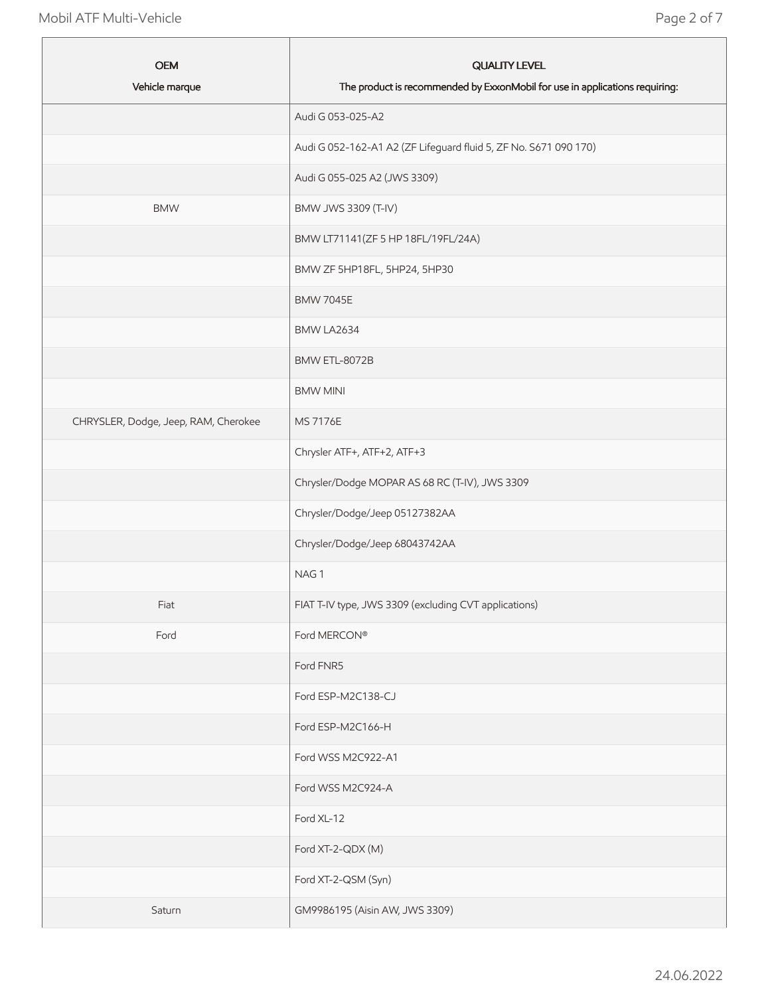٠

| <b>OEM</b><br>Vehicle marque         | <b>QUALITY LEVEL</b><br>The product is recommended by ExxonMobil for use in applications requiring: |
|--------------------------------------|-----------------------------------------------------------------------------------------------------|
|                                      | Audi G 053-025-A2                                                                                   |
|                                      | Audi G 052-162-A1 A2 (ZF Lifeguard fluid 5, ZF No. S671 090 170)                                    |
|                                      | Audi G 055-025 A2 (JWS 3309)                                                                        |
| <b>BMW</b>                           | BMW JWS 3309 (T-IV)                                                                                 |
|                                      | BMW LT71141(ZF 5 HP 18FL/19FL/24A)                                                                  |
|                                      | BMW ZF 5HP18FL, 5HP24, 5HP30                                                                        |
|                                      | <b>BMW 7045E</b>                                                                                    |
|                                      | BMW LA2634                                                                                          |
|                                      | BMW ETL-8072B                                                                                       |
|                                      | <b>BMW MINI</b>                                                                                     |
| CHRYSLER, Dodge, Jeep, RAM, Cherokee | <b>MS 7176E</b>                                                                                     |
|                                      | Chrysler ATF+, ATF+2, ATF+3                                                                         |
|                                      | Chrysler/Dodge MOPAR AS 68 RC (T-IV), JWS 3309                                                      |
|                                      | Chrysler/Dodge/Jeep 05127382AA                                                                      |
|                                      | Chrysler/Dodge/Jeep 68043742AA                                                                      |
|                                      | NAG1                                                                                                |
| Fiat                                 | FIAT T-IV type, JWS 3309 (excluding CVT applications)                                               |
| Ford                                 | Ford MERCON®                                                                                        |
|                                      | Ford FNR5                                                                                           |
|                                      | Ford ESP-M2C138-CJ                                                                                  |
|                                      | Ford ESP-M2C166-H                                                                                   |
|                                      | Ford WSS M2C922-A1                                                                                  |
|                                      | Ford WSS M2C924-A                                                                                   |
|                                      | Ford XL-12                                                                                          |
|                                      | Ford XT-2-QDX (M)                                                                                   |
|                                      | Ford XT-2-QSM (Syn)                                                                                 |
| Saturn                               | GM9986195 (Aisin AW, JWS 3309)                                                                      |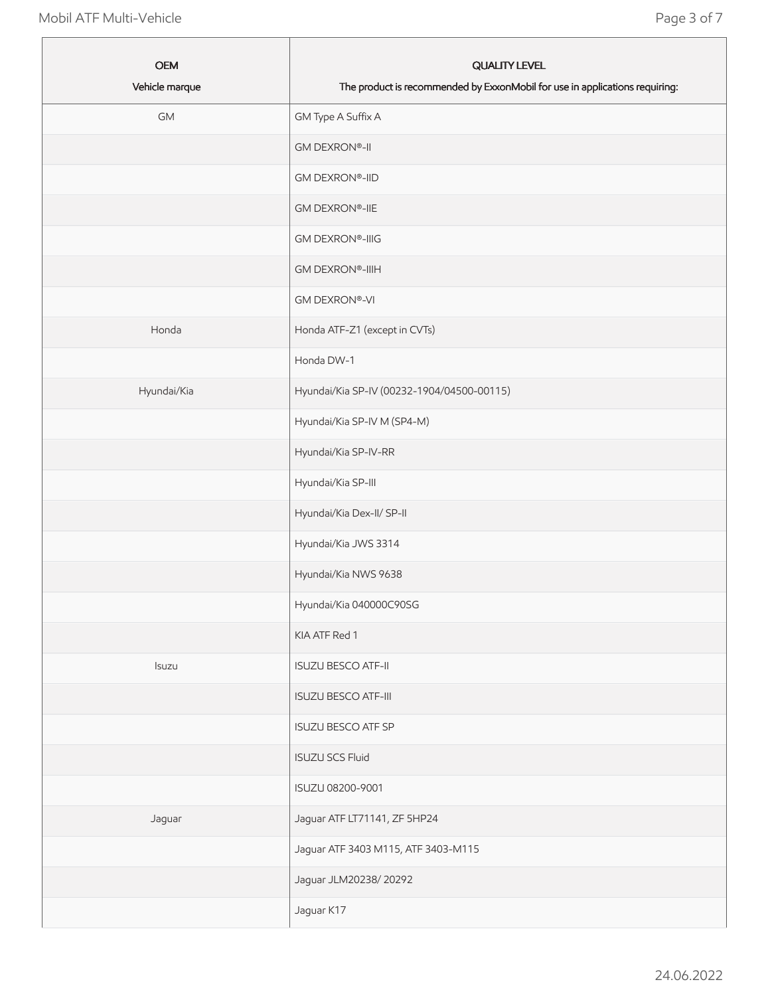| <b>OEM</b><br>Vehicle marque | <b>QUALITY LEVEL</b><br>The product is recommended by ExxonMobil for use in applications requiring: |
|------------------------------|-----------------------------------------------------------------------------------------------------|
| <b>GM</b>                    | GM Type A Suffix A                                                                                  |
|                              | <b>GM DEXRON®-II</b>                                                                                |
|                              | <b>GM DEXRON®-IID</b>                                                                               |
|                              | <b>GM DEXRON®-IIE</b>                                                                               |
|                              | <b>GM DEXRON®-IIIG</b>                                                                              |
|                              | <b>GM DEXRON®-IIIH</b>                                                                              |
|                              | <b>GM DEXRON®-VI</b>                                                                                |
| Honda                        | Honda ATF-Z1 (except in CVTs)                                                                       |
|                              | Honda DW-1                                                                                          |
| Hyundai/Kia                  | Hyundai/Kia SP-IV (00232-1904/04500-00115)                                                          |
|                              | Hyundai/Kia SP-IV M (SP4-M)                                                                         |
|                              | Hyundai/Kia SP-IV-RR                                                                                |
|                              | Hyundai/Kia SP-III                                                                                  |
|                              | Hyundai/Kia Dex-II/ SP-II                                                                           |
|                              | Hyundai/Kia JWS 3314                                                                                |
|                              | Hyundai/Kia NWS 9638                                                                                |
|                              | Hyundai/Kia 040000C90SG                                                                             |
|                              | KIA ATF Red 1                                                                                       |
| Isuzu                        | <b>ISUZU BESCO ATF-II</b>                                                                           |
|                              | <b>ISUZU BESCO ATF-III</b>                                                                          |
|                              | <b>ISUZU BESCO ATF SP</b>                                                                           |
|                              | <b>ISUZU SCS Fluid</b>                                                                              |
|                              | ISUZU 08200-9001                                                                                    |
| Jaguar                       | Jaguar ATF LT71141, ZF 5HP24                                                                        |
|                              | Jaguar ATF 3403 M115, ATF 3403-M115                                                                 |
|                              | Jaguar JLM20238/20292                                                                               |
|                              | Jaguar K17                                                                                          |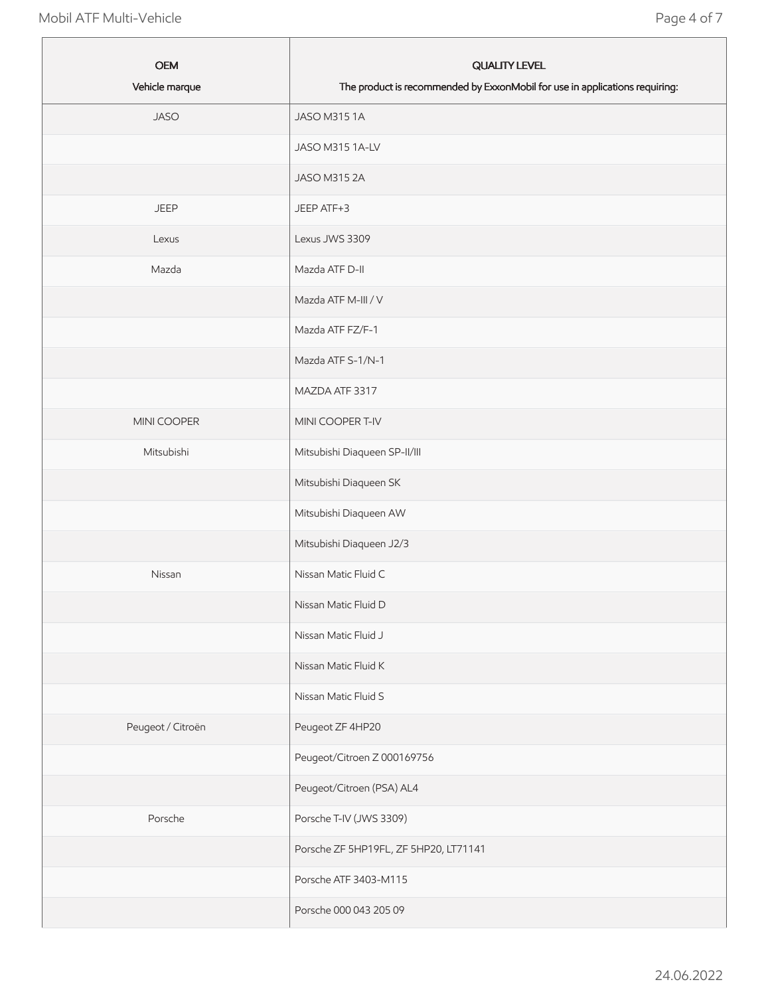| <b>OEM</b><br>Vehicle marque | <b>QUALITY LEVEL</b><br>The product is recommended by ExxonMobil for use in applications requiring: |
|------------------------------|-----------------------------------------------------------------------------------------------------|
| <b>JASO</b>                  | JASO M315 1A                                                                                        |
|                              | JASO M315 1A-LV                                                                                     |
|                              | JASO M315 2A                                                                                        |
| <b>JEEP</b>                  | JEEP ATF+3                                                                                          |
| Lexus                        | Lexus JWS 3309                                                                                      |
| Mazda                        | Mazda ATF D-II                                                                                      |
|                              | Mazda ATF M-III / V                                                                                 |
|                              | Mazda ATF FZ/F-1                                                                                    |
|                              | Mazda ATF S-1/N-1                                                                                   |
|                              | MAZDA ATF 3317                                                                                      |
| MINI COOPER                  | MINI COOPER T-IV                                                                                    |
| Mitsubishi                   | Mitsubishi Diaqueen SP-II/III                                                                       |
|                              | Mitsubishi Diaqueen SK                                                                              |
|                              | Mitsubishi Diaqueen AW                                                                              |
|                              | Mitsubishi Diaqueen J2/3                                                                            |
| Nissan                       | Nissan Matic Fluid C                                                                                |
|                              | Nissan Matic Fluid D                                                                                |
|                              | Nissan Matic Fluid J                                                                                |
|                              | Nissan Matic Fluid K                                                                                |
|                              | Nissan Matic Fluid S                                                                                |
| Peugeot / Citroën            | Peugeot ZF 4HP20                                                                                    |
|                              | Peugeot/Citroen Z 000169756                                                                         |
|                              | Peugeot/Citroen (PSA) AL4                                                                           |
| Porsche                      | Porsche T-IV (JWS 3309)                                                                             |
|                              | Porsche ZF 5HP19FL, ZF 5HP20, LT71141                                                               |
|                              | Porsche ATF 3403-M115                                                                               |
|                              | Porsche 000 043 205 09                                                                              |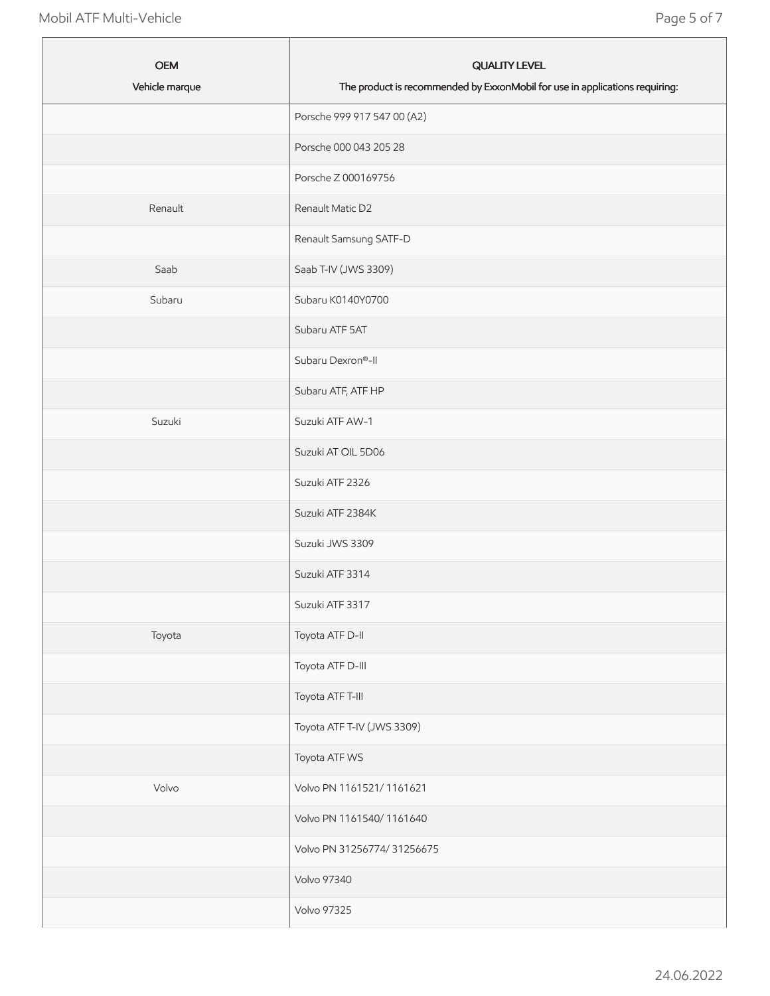| <b>OEM</b><br>Vehicle marque | <b>QUALITY LEVEL</b><br>The product is recommended by ExxonMobil for use in applications requiring: |
|------------------------------|-----------------------------------------------------------------------------------------------------|
|                              | Porsche 999 917 547 00 (A2)                                                                         |
|                              | Porsche 000 043 205 28                                                                              |
|                              | Porsche Z 000169756                                                                                 |
| Renault                      | Renault Matic D2                                                                                    |
|                              | Renault Samsung SATF-D                                                                              |
| Saab                         | Saab T-IV (JWS 3309)                                                                                |
| Subaru                       | Subaru K0140Y0700                                                                                   |
|                              | Subaru ATF 5AT                                                                                      |
|                              | Subaru Dexron®-II                                                                                   |
|                              | Subaru ATF, ATF HP                                                                                  |
| Suzuki                       | Suzuki ATF AW-1                                                                                     |
|                              | Suzuki AT OIL 5D06                                                                                  |
|                              | Suzuki ATF 2326                                                                                     |
|                              | Suzuki ATF 2384K                                                                                    |
|                              | Suzuki JWS 3309                                                                                     |
|                              | Suzuki ATF 3314                                                                                     |
|                              | Suzuki ATF 3317                                                                                     |
| Toyota                       | Toyota ATF D-II                                                                                     |
|                              | Toyota ATF D-III                                                                                    |
|                              | Toyota ATF T-III                                                                                    |
|                              | Toyota ATF T-IV (JWS 3309)                                                                          |
|                              | Toyota ATF WS                                                                                       |
| Volvo                        | Volvo PN 1161521/1161621                                                                            |
|                              | Volvo PN 1161540/1161640                                                                            |
|                              | Volvo PN 31256774/31256675                                                                          |
|                              | Volvo 97340                                                                                         |
|                              | <b>Volvo 97325</b>                                                                                  |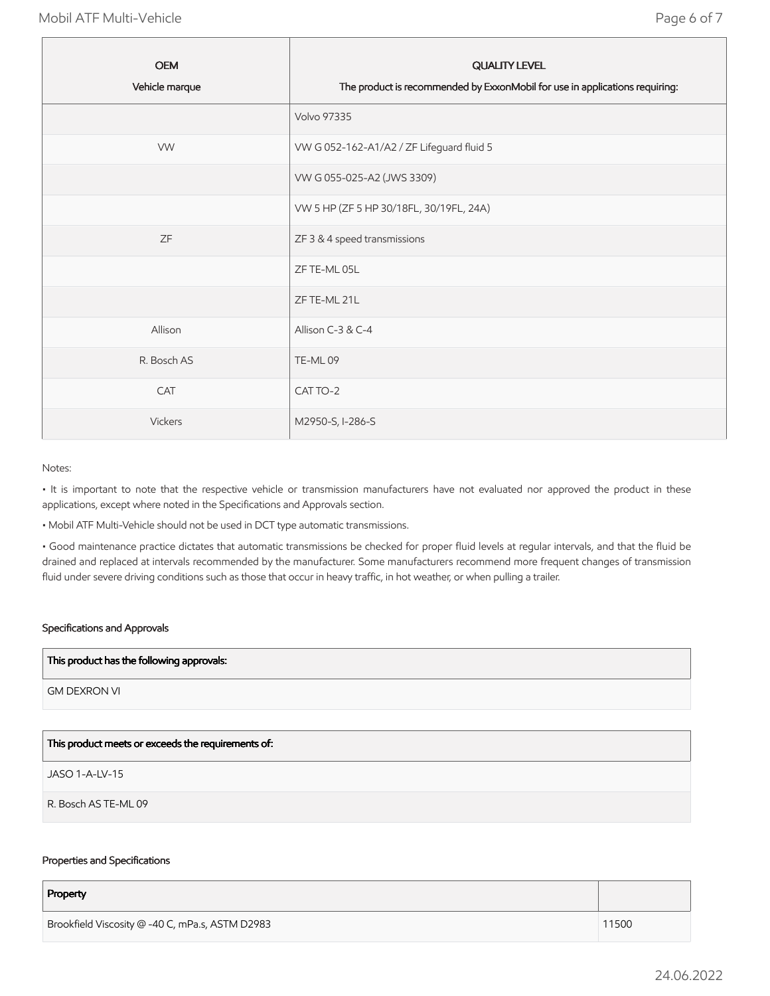| <b>OEM</b><br>Vehicle marque | <b>QUALITY LEVEL</b><br>The product is recommended by ExxonMobil for use in applications requiring: |
|------------------------------|-----------------------------------------------------------------------------------------------------|
|                              | <b>Volvo 97335</b>                                                                                  |
| <b>VW</b>                    | VW G 052-162-A1/A2 / ZF Lifeguard fluid 5                                                           |
|                              | VW G 055-025-A2 (JWS 3309)                                                                          |
|                              | VW 5 HP (ZF 5 HP 30/18FL, 30/19FL, 24A)                                                             |
| <b>ZF</b>                    | ZF 3 & 4 speed transmissions                                                                        |
|                              | ZF TE-ML 05L                                                                                        |
|                              | ZF TE-ML 21L                                                                                        |
| Allison                      | Allison C-3 & C-4                                                                                   |
| R. Bosch AS                  | TE-ML09                                                                                             |
| CAT                          | CAT TO-2                                                                                            |
| <b>Vickers</b>               | M2950-S, I-286-S                                                                                    |

#### Notes:

• It is important to note that the respective vehicle or transmission manufacturers have not evaluated nor approved the product in these applications, except where noted in the Specifications and Approvals section.

• Mobil ATF Multi-Vehicle should not be used in DCT type automatic transmissions.

• Good maintenance practice dictates that automatic transmissions be checked for proper fluid levels at regular intervals, and that the fluid be drained and replaced at intervals recommended by the manufacturer. Some manufacturers recommend more frequent changes of transmission fluid under severe driving conditions such as those that occur in heavy traffic, in hot weather, or when pulling a trailer.

# Specifications and Approvals

#### This product has the following approvals:

GM DEXRON VI

# This product meets or exceeds the requirements of:

JASO 1-A-LV-15

R. Bosch AS TE-ML 09

#### Properties and Specifications

| Property                                        |       |
|-------------------------------------------------|-------|
| Brookfield Viscosity @ -40 C, mPa.s, ASTM D2983 | 11500 |